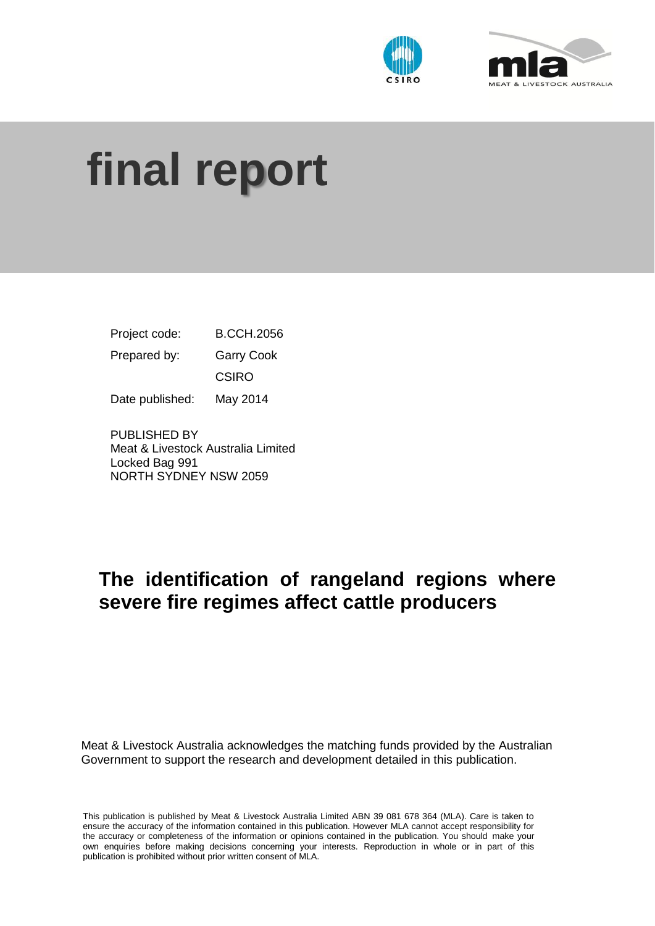



# **final report**

Project code: B.CCH.2056 Prepared by: Garry Cook CSIRO Date published: May 2014

PUBLISHED BY Meat & Livestock Australia Limited Locked Bag 991 NORTH SYDNEY NSW 2059

# **The identification of rangeland regions where severe fire regimes affect cattle producers**

Meat & Livestock Australia acknowledges the matching funds provided by the Australian Government to support the research and development detailed in this publication.

This publication is published by Meat & Livestock Australia Limited ABN 39 081 678 364 (MLA). Care is taken to ensure the accuracy of the information contained in this publication. However MLA cannot accept responsibility for the accuracy or completeness of the information or opinions contained in the publication. You should make your own enquiries before making decisions concerning your interests. Reproduction in whole or in part of this publication is prohibited without prior written consent of MLA.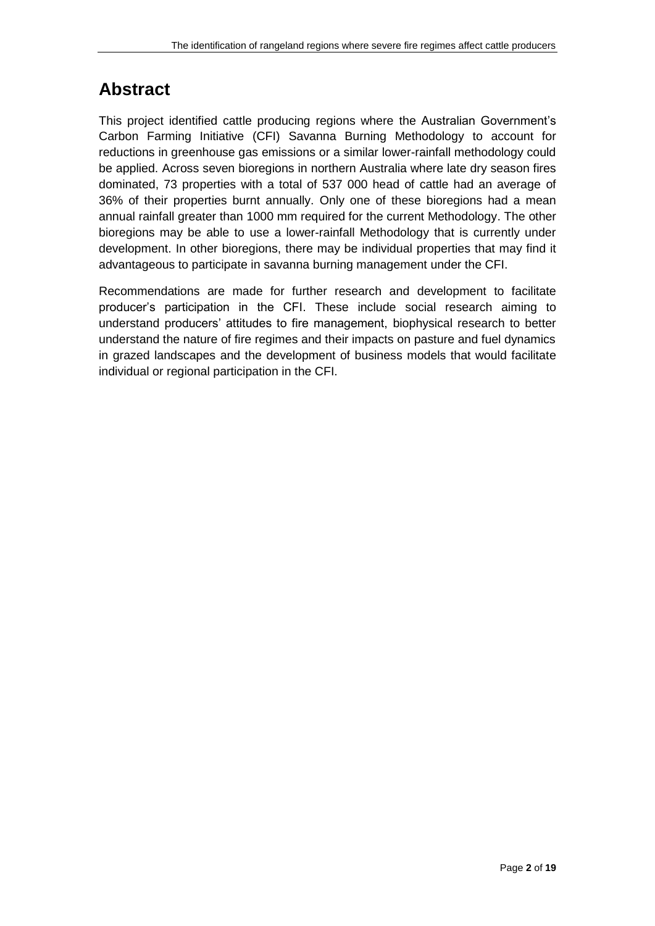## **Abstract**

This project identified cattle producing regions where the Australian Government's Carbon Farming Initiative (CFI) Savanna Burning Methodology to account for reductions in greenhouse gas emissions or a similar lower-rainfall methodology could be applied. Across seven bioregions in northern Australia where late dry season fires dominated, 73 properties with a total of 537 000 head of cattle had an average of 36% of their properties burnt annually. Only one of these bioregions had a mean annual rainfall greater than 1000 mm required for the current Methodology. The other bioregions may be able to use a lower-rainfall Methodology that is currently under development. In other bioregions, there may be individual properties that may find it advantageous to participate in savanna burning management under the CFI.

Recommendations are made for further research and development to facilitate producer's participation in the CFI. These include social research aiming to understand producers' attitudes to fire management, biophysical research to better understand the nature of fire regimes and their impacts on pasture and fuel dynamics in grazed landscapes and the development of business models that would facilitate individual or regional participation in the CFI.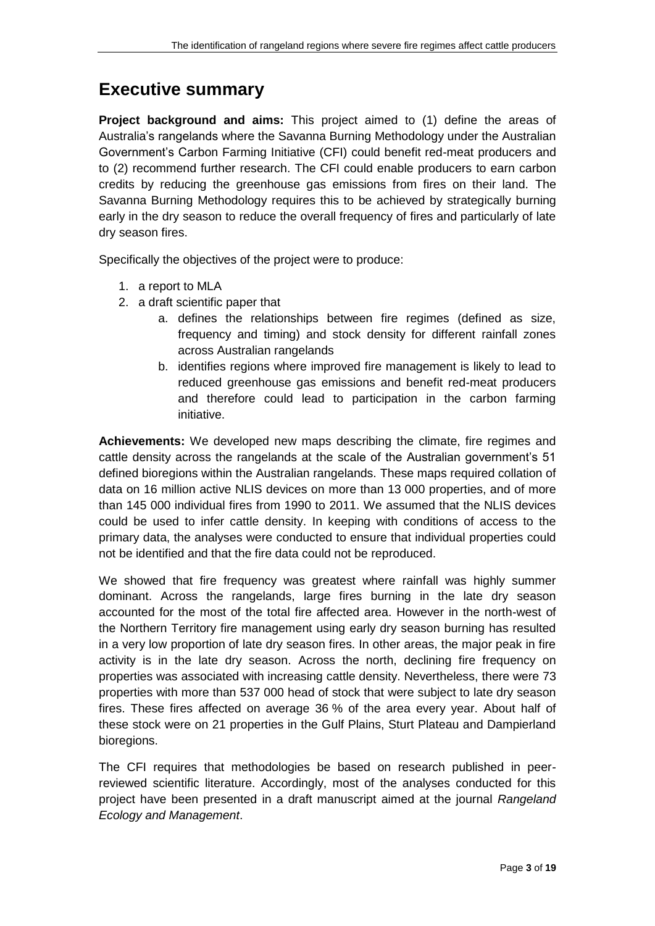## **Executive summary**

**Project background and aims:** This project aimed to (1) define the areas of Australia's rangelands where the Savanna Burning Methodology under the Australian Government's Carbon Farming Initiative (CFI) could benefit red-meat producers and to (2) recommend further research. The CFI could enable producers to earn carbon credits by reducing the greenhouse gas emissions from fires on their land. The Savanna Burning Methodology requires this to be achieved by strategically burning early in the dry season to reduce the overall frequency of fires and particularly of late dry season fires.

Specifically the objectives of the project were to produce:

- 1. a report to MLA
- 2. a draft scientific paper that
	- a. defines the relationships between fire regimes (defined as size, frequency and timing) and stock density for different rainfall zones across Australian rangelands
	- b. identifies regions where improved fire management is likely to lead to reduced greenhouse gas emissions and benefit red-meat producers and therefore could lead to participation in the carbon farming initiative.

**Achievements:** We developed new maps describing the climate, fire regimes and cattle density across the rangelands at the scale of the Australian government's 51 defined bioregions within the Australian rangelands. These maps required collation of data on 16 million active NLIS devices on more than 13 000 properties, and of more than 145 000 individual fires from 1990 to 2011. We assumed that the NLIS devices could be used to infer cattle density. In keeping with conditions of access to the primary data, the analyses were conducted to ensure that individual properties could not be identified and that the fire data could not be reproduced.

We showed that fire frequency was greatest where rainfall was highly summer dominant. Across the rangelands, large fires burning in the late dry season accounted for the most of the total fire affected area. However in the north-west of the Northern Territory fire management using early dry season burning has resulted in a very low proportion of late dry season fires. In other areas, the major peak in fire activity is in the late dry season. Across the north, declining fire frequency on properties was associated with increasing cattle density. Nevertheless, there were 73 properties with more than 537 000 head of stock that were subject to late dry season fires. These fires affected on average 36 % of the area every year. About half of these stock were on 21 properties in the Gulf Plains, Sturt Plateau and Dampierland bioregions.

The CFI requires that methodologies be based on research published in peerreviewed scientific literature. Accordingly, most of the analyses conducted for this project have been presented in a draft manuscript aimed at the journal *Rangeland Ecology and Management*.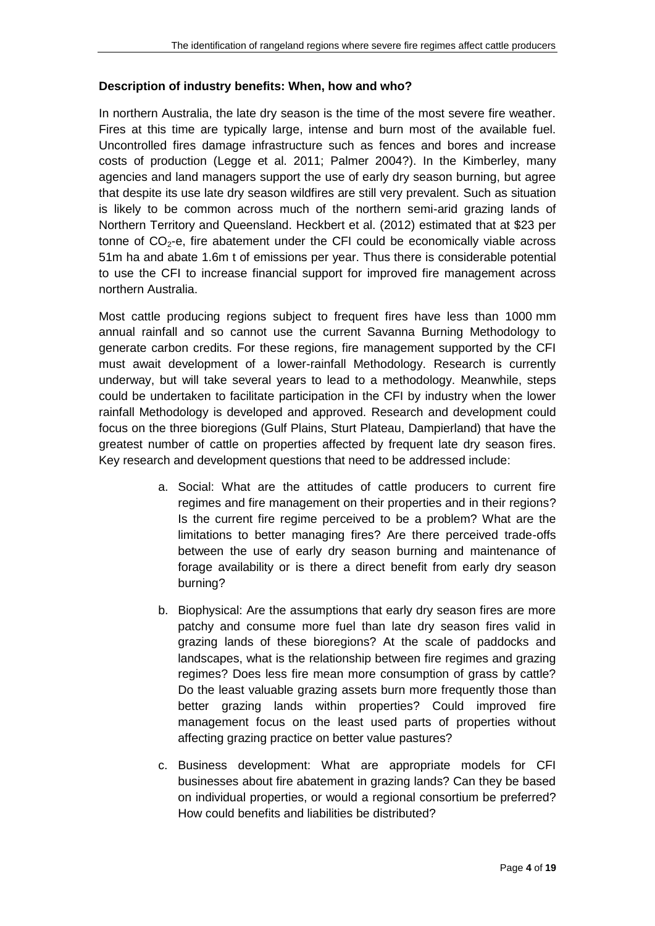#### **Description of industry benefits: When, how and who?**

In northern Australia, the late dry season is the time of the most severe fire weather. Fires at this time are typically large, intense and burn most of the available fuel. Uncontrolled fires damage infrastructure such as fences and bores and increase costs of production (Legge et al. 2011; Palmer 2004?). In the Kimberley, many agencies and land managers support the use of early dry season burning, but agree that despite its use late dry season wildfires are still very prevalent. Such as situation is likely to be common across much of the northern semi-arid grazing lands of Northern Territory and Queensland. Heckbert et al. (2012) estimated that at \$23 per tonne of  $CO<sub>2</sub>$ -e, fire abatement under the CFI could be economically viable across 51m ha and abate 1.6m t of emissions per year. Thus there is considerable potential to use the CFI to increase financial support for improved fire management across northern Australia.

Most cattle producing regions subject to frequent fires have less than 1000 mm annual rainfall and so cannot use the current Savanna Burning Methodology to generate carbon credits. For these regions, fire management supported by the CFI must await development of a lower-rainfall Methodology. Research is currently underway, but will take several years to lead to a methodology. Meanwhile, steps could be undertaken to facilitate participation in the CFI by industry when the lower rainfall Methodology is developed and approved. Research and development could focus on the three bioregions (Gulf Plains, Sturt Plateau, Dampierland) that have the greatest number of cattle on properties affected by frequent late dry season fires. Key research and development questions that need to be addressed include:

- a. Social: What are the attitudes of cattle producers to current fire regimes and fire management on their properties and in their regions? Is the current fire regime perceived to be a problem? What are the limitations to better managing fires? Are there perceived trade-offs between the use of early dry season burning and maintenance of forage availability or is there a direct benefit from early dry season burning?
- b. Biophysical: Are the assumptions that early dry season fires are more patchy and consume more fuel than late dry season fires valid in grazing lands of these bioregions? At the scale of paddocks and landscapes, what is the relationship between fire regimes and grazing regimes? Does less fire mean more consumption of grass by cattle? Do the least valuable grazing assets burn more frequently those than better grazing lands within properties? Could improved fire management focus on the least used parts of properties without affecting grazing practice on better value pastures?
- c. Business development: What are appropriate models for CFI businesses about fire abatement in grazing lands? Can they be based on individual properties, or would a regional consortium be preferred? How could benefits and liabilities be distributed?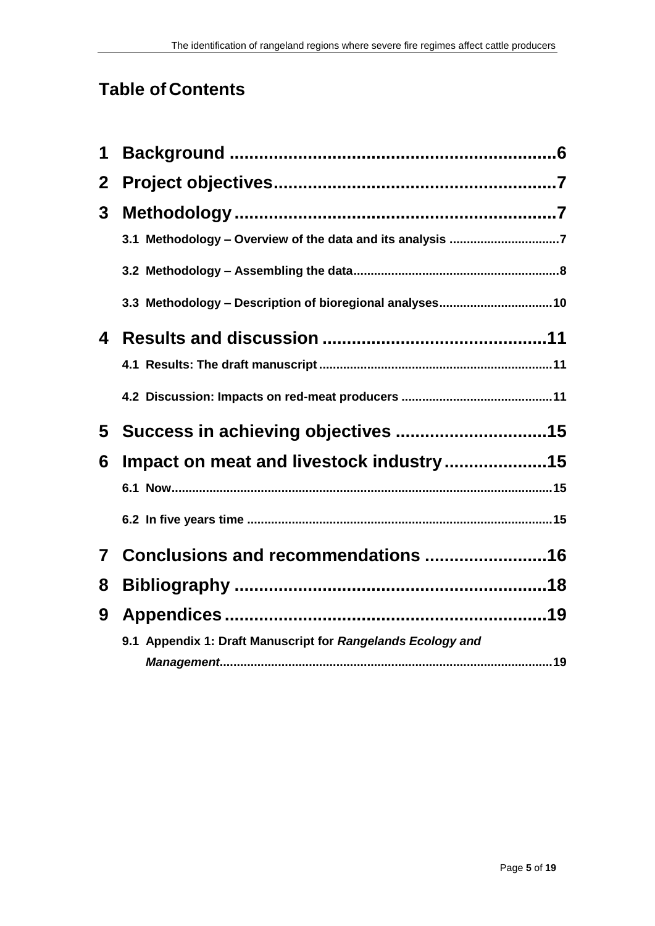# **Table of Contents**

| 1            |                                                             |
|--------------|-------------------------------------------------------------|
| $\mathbf{2}$ |                                                             |
| 3            |                                                             |
|              | 3.1 Methodology - Overview of the data and its analysis 7   |
|              |                                                             |
|              | 3.3 Methodology - Description of bioregional analyses10     |
| 4            |                                                             |
|              |                                                             |
|              |                                                             |
| 5            |                                                             |
| 6            | Impact on meat and livestock industry15                     |
|              |                                                             |
|              |                                                             |
| $\mathbf{7}$ | Conclusions and recommendations 16                          |
| 8            |                                                             |
| 9            |                                                             |
|              | 9.1 Appendix 1: Draft Manuscript for Rangelands Ecology and |
|              |                                                             |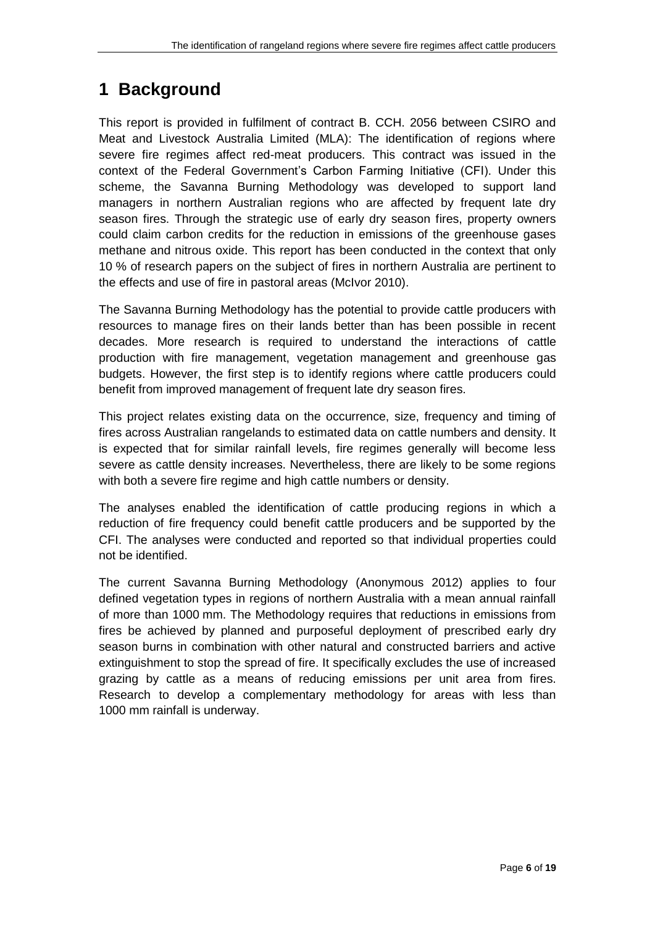## <span id="page-5-0"></span>**1 Background**

This report is provided in fulfilment of contract B. CCH. 2056 between CSIRO and Meat and Livestock Australia Limited (MLA): The identification of regions where severe fire regimes affect red-meat producers. This contract was issued in the context of the Federal Government's Carbon Farming Initiative (CFI). Under this scheme, the Savanna Burning Methodology was developed to support land managers in northern Australian regions who are affected by frequent late dry season fires. Through the strategic use of early dry season fires, property owners could claim carbon credits for the reduction in emissions of the greenhouse gases methane and nitrous oxide. This report has been conducted in the context that only 10 % of research papers on the subject of fires in northern Australia are pertinent to the effects and use of fire in pastoral areas (McIvor 2010).

The Savanna Burning Methodology has the potential to provide cattle producers with resources to manage fires on their lands better than has been possible in recent decades. More research is required to understand the interactions of cattle production with fire management, vegetation management and greenhouse gas budgets. However, the first step is to identify regions where cattle producers could benefit from improved management of frequent late dry season fires.

This project relates existing data on the occurrence, size, frequency and timing of fires across Australian rangelands to estimated data on cattle numbers and density. It is expected that for similar rainfall levels, fire regimes generally will become less severe as cattle density increases. Nevertheless, there are likely to be some regions with both a severe fire regime and high cattle numbers or density.

The analyses enabled the identification of cattle producing regions in which a reduction of fire frequency could benefit cattle producers and be supported by the CFI. The analyses were conducted and reported so that individual properties could not be identified.

<span id="page-5-1"></span>The current Savanna Burning Methodology (Anonymous 2012) applies to four defined vegetation types in regions of northern Australia with a mean annual rainfall of more than 1000 mm. The Methodology requires that reductions in emissions from fires be achieved by planned and purposeful deployment of prescribed early dry season burns in combination with other natural and constructed barriers and active extinguishment to stop the spread of fire. It specifically excludes the use of increased grazing by cattle as a means of reducing emissions per unit area from fires. Research to develop a complementary methodology for areas with less than 1000 mm rainfall is underway.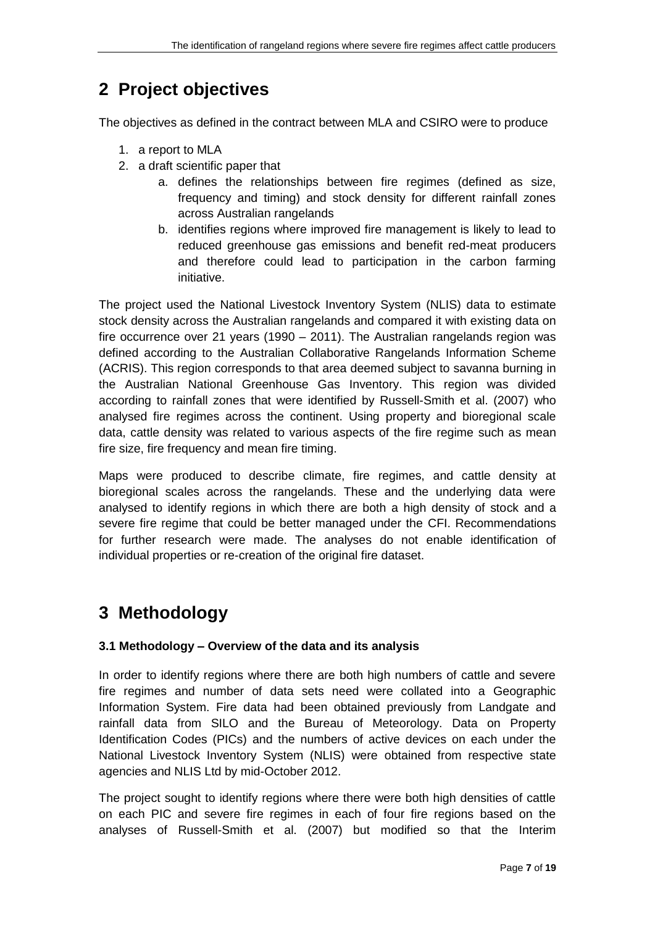## **2 Project objectives**

The objectives as defined in the contract between MLA and CSIRO were to produce

- 1. a report to MLA
- 2. a draft scientific paper that
	- a. defines the relationships between fire regimes (defined as size, frequency and timing) and stock density for different rainfall zones across Australian rangelands
	- b. identifies regions where improved fire management is likely to lead to reduced greenhouse gas emissions and benefit red-meat producers and therefore could lead to participation in the carbon farming initiative.

The project used the National Livestock Inventory System (NLIS) data to estimate stock density across the Australian rangelands and compared it with existing data on fire occurrence over 21 years (1990 – 2011). The Australian rangelands region was defined according to the Australian Collaborative Rangelands Information Scheme (ACRIS). This region corresponds to that area deemed subject to savanna burning in the Australian National Greenhouse Gas Inventory. This region was divided according to rainfall zones that were identified by Russell-Smith et al. (2007) who analysed fire regimes across the continent. Using property and bioregional scale data, cattle density was related to various aspects of the fire regime such as mean fire size, fire frequency and mean fire timing.

Maps were produced to describe climate, fire regimes, and cattle density at bioregional scales across the rangelands. These and the underlying data were analysed to identify regions in which there are both a high density of stock and a severe fire regime that could be better managed under the CFI. Recommendations for further research were made. The analyses do not enable identification of individual properties or re-creation of the original fire dataset.

# <span id="page-6-1"></span><span id="page-6-0"></span>**3 Methodology**

#### **3.1 Methodology – Overview of the data and its analysis**

In order to identify regions where there are both high numbers of cattle and severe fire regimes and number of data sets need were collated into a Geographic Information System. Fire data had been obtained previously from Landgate and rainfall data from SILO and the Bureau of Meteorology. Data on Property Identification Codes (PICs) and the numbers of active devices on each under the National Livestock Inventory System (NLIS) were obtained from respective state agencies and NLIS Ltd by mid-October 2012.

The project sought to identify regions where there were both high densities of cattle on each PIC and severe fire regimes in each of four fire regions based on the analyses of Russell-Smith et al. (2007) but modified so that the Interim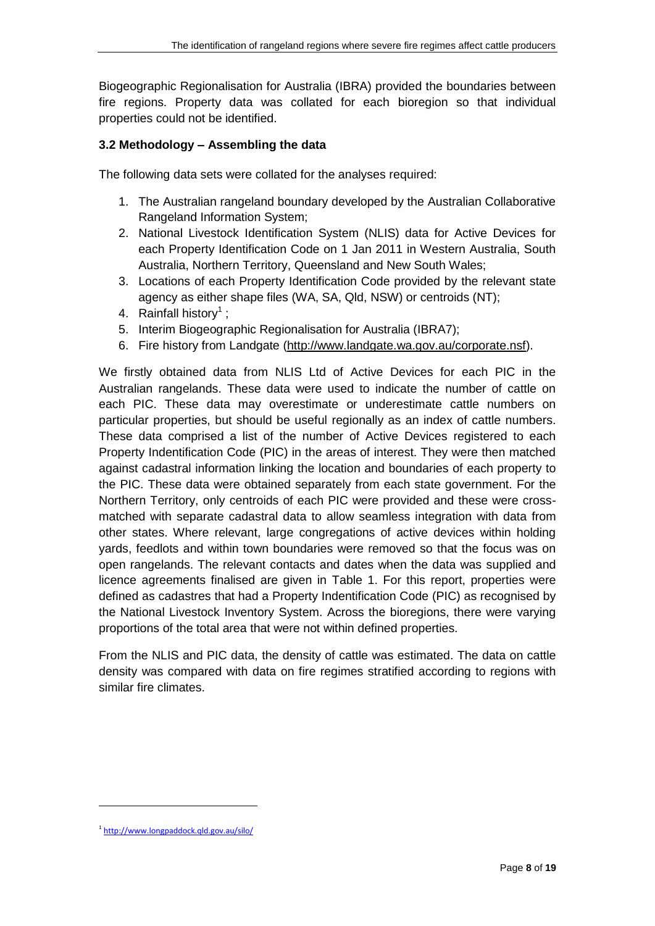Biogeographic Regionalisation for Australia (IBRA) provided the boundaries between fire regions. Property data was collated for each bioregion so that individual properties could not be identified.

### <span id="page-7-0"></span>**3.2 Methodology – Assembling the data**

The following data sets were collated for the analyses required:

- 1. The Australian rangeland boundary developed by the Australian Collaborative Rangeland Information System;
- 2. National Livestock Identification System (NLIS) data for Active Devices for each Property Identification Code on 1 Jan 2011 in Western Australia, South Australia, Northern Territory, Queensland and New South Wales;
- 3. Locations of each Property Identification Code provided by the relevant state agency as either shape files (WA, SA, Qld, NSW) or centroids (NT);
- 4. Rainfall history<sup>1</sup>;
- 5. Interim Biogeographic Regionalisation for Australia (IBRA7);
- 6. Fire history from Landgate [\(http://www.landgate.wa.gov.au/corporate.nsf\)](http://www.landgate.wa.gov.au/corporate.nsf).

We firstly obtained data from NLIS Ltd of Active Devices for each PIC in the Australian rangelands. These data were used to indicate the number of cattle on each PIC. These data may overestimate or underestimate cattle numbers on particular properties, but should be useful regionally as an index of cattle numbers. These data comprised a list of the number of Active Devices registered to each Property Indentification Code (PIC) in the areas of interest. They were then matched against cadastral information linking the location and boundaries of each property to the PIC. These data were obtained separately from each state government. For the Northern Territory, only centroids of each PIC were provided and these were crossmatched with separate cadastral data to allow seamless integration with data from other states. Where relevant, large congregations of active devices within holding yards, feedlots and within town boundaries were removed so that the focus was on open rangelands. The relevant contacts and dates when the data was supplied and licence agreements finalised are given in [Table 1.](#page-8-0) For this report, properties were defined as cadastres that had a Property Indentification Code (PIC) as recognised by the National Livestock Inventory System. Across the bioregions, there were varying proportions of the total area that were not within defined properties.

From the NLIS and PIC data, the density of cattle was estimated. The data on cattle density was compared with data on fire regimes stratified according to regions with similar fire climates.

 $\overline{a}$ 

<sup>1</sup> <http://www.longpaddock.qld.gov.au/silo/>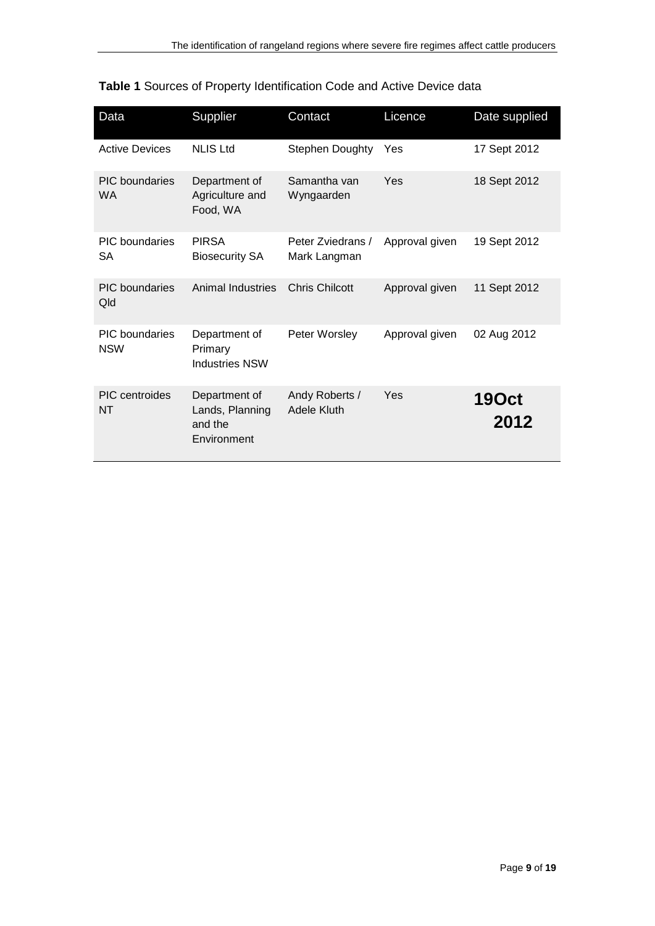| Data                                | Supplier                                                   | Contact                           | Licence        | Date supplied        |
|-------------------------------------|------------------------------------------------------------|-----------------------------------|----------------|----------------------|
| <b>Active Devices</b>               | <b>NLIS Ltd</b>                                            | <b>Stephen Doughty</b>            | Yes            | 17 Sept 2012         |
| <b>PIC</b> boundaries<br><b>WA</b>  | Department of<br>Agriculture and<br>Food, WA               | Samantha van<br>Wyngaarden        | Yes            | 18 Sept 2012         |
| PIC boundaries<br>SА                | <b>PIRSA</b><br><b>Biosecurity SA</b>                      | Peter Zviedrans /<br>Mark Langman | Approval given | 19 Sept 2012         |
| <b>PIC</b> boundaries<br>Qld        | Animal Industries                                          | <b>Chris Chilcott</b>             | Approval given | 11 Sept 2012         |
| <b>PIC</b> boundaries<br><b>NSW</b> | Department of<br>Primary<br><b>Industries NSW</b>          | Peter Worsley                     | Approval given | 02 Aug 2012          |
| <b>PIC</b> centroides<br><b>NT</b>  | Department of<br>Lands, Planning<br>and the<br>Environment | Andy Roberts /<br>Adele Kluth     | Yes            | <b>190ct</b><br>2012 |

## <span id="page-8-0"></span>**Table 1** Sources of Property Identification Code and Active Device data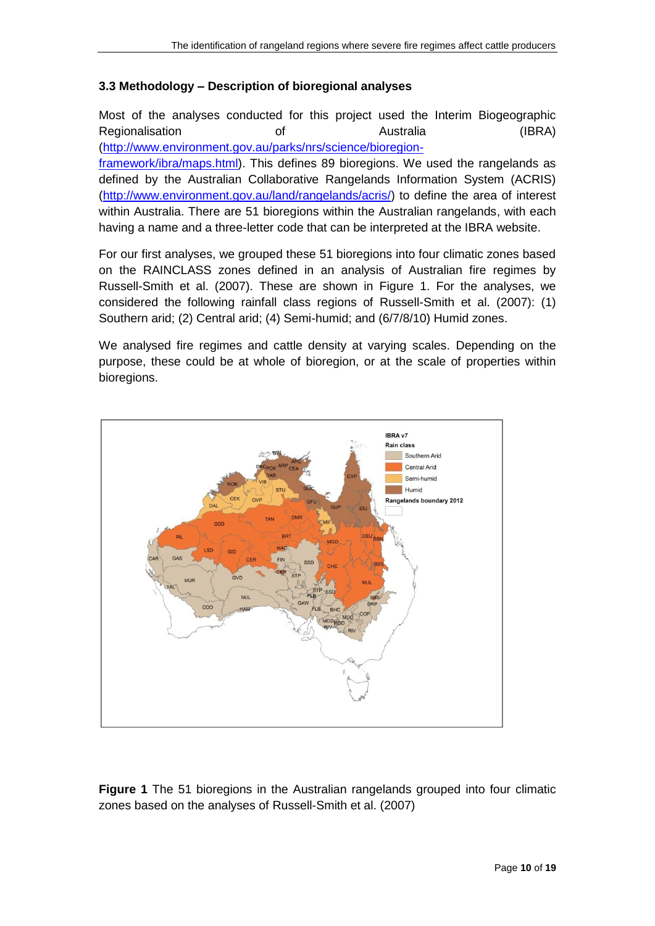#### <span id="page-9-0"></span>**3.3 Methodology – Description of bioregional analyses**

Most of the analyses conducted for this project used the Interim Biogeographic Regionalisation of Australia (IBRA) [\(http://www.environment.gov.au/parks/nrs/science/bioregion-](http://www.environment.gov.au/parks/nrs/science/bioregion-framework/ibra/maps.html)

[framework/ibra/maps.html\)](http://www.environment.gov.au/parks/nrs/science/bioregion-framework/ibra/maps.html). This defines 89 bioregions. We used the rangelands as defined by the Australian Collaborative Rangelands Information System (ACRIS) [\(http://www.environment.gov.au/land/rangelands/acris/\)](http://www.environment.gov.au/land/rangelands/acris/) to define the area of interest within Australia. There are 51 bioregions within the Australian rangelands, with each having a name and a three-letter code that can be interpreted at the IBRA website.

For our first analyses, we grouped these 51 bioregions into four climatic zones based on the RAINCLASS zones defined in an analysis of Australian fire regimes by Russell-Smith et al. (2007). These are shown in [Figure 1.](#page-9-1) For the analyses, we considered the following rainfall class regions of Russell-Smith et al. (2007): (1) Southern arid; (2) Central arid; (4) Semi-humid; and (6/7/8/10) Humid zones.

We analysed fire regimes and cattle density at varying scales. Depending on the purpose, these could be at whole of bioregion, or at the scale of properties within bioregions.



<span id="page-9-1"></span>**Figure 1** The 51 bioregions in the Australian rangelands grouped into four climatic zones based on the analyses of Russell-Smith et al. (2007)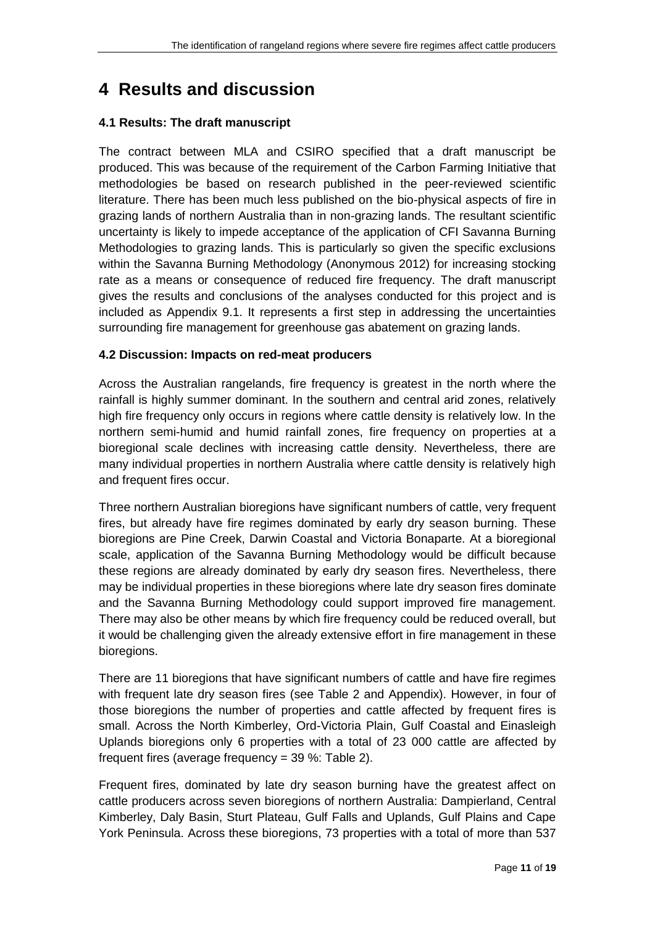## <span id="page-10-0"></span>**4 Results and discussion**

#### <span id="page-10-1"></span>**4.1 Results: The draft manuscript**

The contract between MLA and CSIRO specified that a draft manuscript be produced. This was because of the requirement of the Carbon Farming Initiative that methodologies be based on research published in the peer-reviewed scientific literature. There has been much less published on the bio-physical aspects of fire in grazing lands of northern Australia than in non-grazing lands. The resultant scientific uncertainty is likely to impede acceptance of the application of CFI Savanna Burning Methodologies to grazing lands. This is particularly so given the specific exclusions within the Savanna Burning Methodology (Anonymous 2012) for increasing stocking rate as a means or consequence of reduced fire frequency. The draft manuscript gives the results and conclusions of the analyses conducted for this project and is included as Appendix 9.1. It represents a first step in addressing the uncertainties surrounding fire management for greenhouse gas abatement on grazing lands.

#### <span id="page-10-2"></span>**4.2 Discussion: Impacts on red-meat producers**

Across the Australian rangelands, fire frequency is greatest in the north where the rainfall is highly summer dominant. In the southern and central arid zones, relatively high fire frequency only occurs in regions where cattle density is relatively low. In the northern semi-humid and humid rainfall zones, fire frequency on properties at a bioregional scale declines with increasing cattle density. Nevertheless, there are many individual properties in northern Australia where cattle density is relatively high and frequent fires occur.

Three northern Australian bioregions have significant numbers of cattle, very frequent fires, but already have fire regimes dominated by early dry season burning. These bioregions are Pine Creek, Darwin Coastal and Victoria Bonaparte. At a bioregional scale, application of the Savanna Burning Methodology would be difficult because these regions are already dominated by early dry season fires. Nevertheless, there may be individual properties in these bioregions where late dry season fires dominate and the Savanna Burning Methodology could support improved fire management. There may also be other means by which fire frequency could be reduced overall, but it would be challenging given the already extensive effort in fire management in these bioregions.

There are 11 bioregions that have significant numbers of cattle and have fire regimes with frequent late dry season fires (see [Table 2](#page-12-0) and Appendix). However, in four of those bioregions the number of properties and cattle affected by frequent fires is small. Across the North Kimberley, Ord-Victoria Plain, Gulf Coastal and Einasleigh Uplands bioregions only 6 properties with a total of 23 000 cattle are affected by frequent fires (average frequency = 39 %: [Table 2\)](#page-12-0).

Frequent fires, dominated by late dry season burning have the greatest affect on cattle producers across seven bioregions of northern Australia: Dampierland, Central Kimberley, Daly Basin, Sturt Plateau, Gulf Falls and Uplands, Gulf Plains and Cape York Peninsula. Across these bioregions, 73 properties with a total of more than 537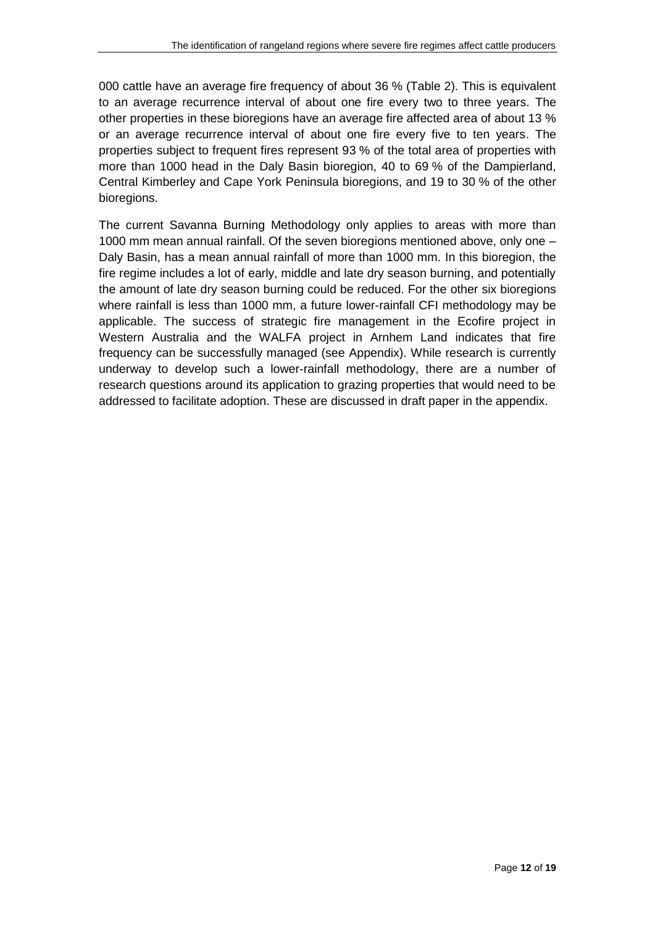000 cattle have an average fire frequency of about 36 % [\(Table 2\)](#page-12-0). This is equivalent to an average recurrence interval of about one fire every two to three years. The other properties in these bioregions have an average fire affected area of about 13 % or an average recurrence interval of about one fire every five to ten years. The properties subject to frequent fires represent 93 % of the total area of properties with more than 1000 head in the Daly Basin bioregion, 40 to 69 % of the Dampierland, Central Kimberley and Cape York Peninsula bioregions, and 19 to 30 % of the other bioregions.

The current Savanna Burning Methodology only applies to areas with more than 1000 mm mean annual rainfall. Of the seven bioregions mentioned above, only one – Daly Basin, has a mean annual rainfall of more than 1000 mm. In this bioregion, the fire regime includes a lot of early, middle and late dry season burning, and potentially the amount of late dry season burning could be reduced. For the other six bioregions where rainfall is less than 1000 mm, a future lower-rainfall CFI methodology may be applicable. The success of strategic fire management in the Ecofire project in Western Australia and the WALFA project in Arnhem Land indicates that fire frequency can be successfully managed (see Appendix). While research is currently underway to develop such a lower-rainfall methodology, there are a number of research questions around its application to grazing properties that would need to be addressed to facilitate adoption. These are discussed in draft paper in the appendix.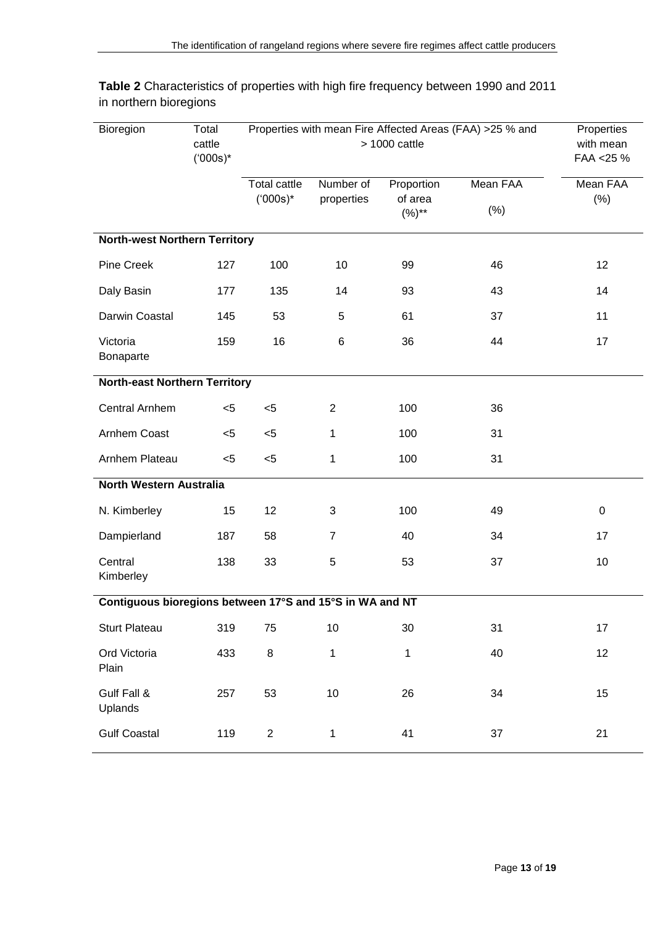| Bioregion                                                | Total<br>cattle<br>$(000s)^*$ | Properties with mean Fire Affected Areas (FAA) >25 % and<br>$> 1000$ cattle |                         |                                     |                         | Properties<br>with mean<br>FAA <25 % |  |  |
|----------------------------------------------------------|-------------------------------|-----------------------------------------------------------------------------|-------------------------|-------------------------------------|-------------------------|--------------------------------------|--|--|
|                                                          |                               | <b>Total cattle</b><br>$(000s)^*$                                           | Number of<br>properties | Proportion<br>of area<br>$(%)^{**}$ | <b>Mean FAA</b><br>(% ) | <b>Mean FAA</b><br>(% )              |  |  |
| <b>North-west Northern Territory</b>                     |                               |                                                                             |                         |                                     |                         |                                      |  |  |
| <b>Pine Creek</b>                                        | 127                           | 100                                                                         | 10                      | 99                                  | 46                      | 12                                   |  |  |
| Daly Basin                                               | 177                           | 135                                                                         | 14                      | 93                                  | 43                      | 14                                   |  |  |
| Darwin Coastal                                           | 145                           | 53                                                                          | 5                       | 61                                  | 37                      | 11                                   |  |  |
| Victoria<br>Bonaparte                                    | 159                           | 16                                                                          | 6                       | 36                                  | 44                      | 17                                   |  |  |
| <b>North-east Northern Territory</b>                     |                               |                                                                             |                         |                                     |                         |                                      |  |  |
| <b>Central Arnhem</b>                                    | $<$ 5                         | $5$                                                                         | $\overline{2}$          | 100                                 | 36                      |                                      |  |  |
| Arnhem Coast                                             | $5$                           | $5$                                                                         | 1                       | 100                                 | 31                      |                                      |  |  |
| Arnhem Plateau                                           | $5$                           | $<$ 5                                                                       | $\mathbf 1$             | 100                                 | 31                      |                                      |  |  |
| North Western Australia                                  |                               |                                                                             |                         |                                     |                         |                                      |  |  |
| N. Kimberley                                             | 15                            | 12                                                                          | 3                       | 100                                 | 49                      | 0                                    |  |  |
| Dampierland                                              | 187                           | 58                                                                          | $\overline{7}$          | 40                                  | 34                      | 17                                   |  |  |
| Central<br>Kimberley                                     | 138                           | 33                                                                          | 5                       | 53                                  | 37                      | 10                                   |  |  |
| Contiguous bioregions between 17°S and 15°S in WA and NT |                               |                                                                             |                         |                                     |                         |                                      |  |  |
| <b>Sturt Plateau</b>                                     | 319                           | 75                                                                          | 10                      | 30                                  | 31                      | 17                                   |  |  |
| Ord Victoria<br>Plain                                    | 433                           | 8                                                                           | $\mathbf{1}$            | 1                                   | 40                      | 12                                   |  |  |
| Gulf Fall &<br>Uplands                                   | 257                           | 53                                                                          | $10$                    | 26                                  | 34                      | 15                                   |  |  |
| <b>Gulf Coastal</b>                                      | 119                           | $\overline{\mathbf{c}}$                                                     | $\mathbf 1$             | 41                                  | 37                      | 21                                   |  |  |

<span id="page-12-0"></span>**Table 2** Characteristics of properties with high fire frequency between 1990 and 2011 in northern bioregions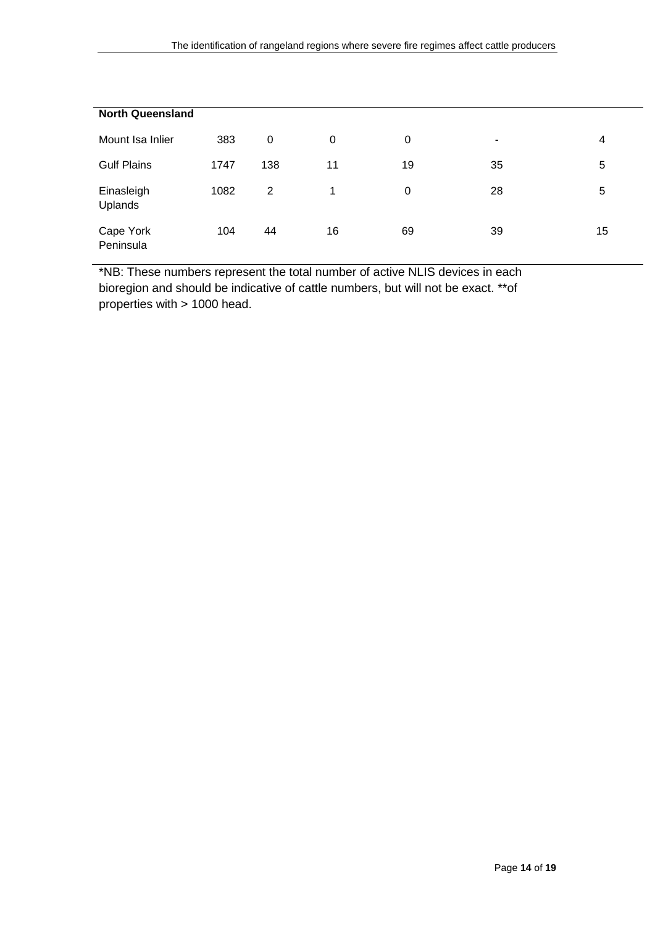| <b>North Queensland</b> |      |     |    |    |    |    |  |
|-------------------------|------|-----|----|----|----|----|--|
|                         |      |     |    |    |    |    |  |
| Mount Isa Inlier        | 383  | 0   | 0  | 0  | ۰  | 4  |  |
|                         |      |     |    |    |    |    |  |
| <b>Gulf Plains</b>      | 1747 | 138 | 11 | 19 | 35 | 5  |  |
|                         |      |     |    |    |    |    |  |
| Einasleigh              | 1082 | 2   | 1  | 0  | 28 | 5  |  |
| Uplands                 |      |     |    |    |    |    |  |
|                         |      |     |    |    |    |    |  |
| Cape York               | 104  | 44  | 16 | 69 | 39 | 15 |  |
| Peninsula               |      |     |    |    |    |    |  |
|                         |      |     |    |    |    |    |  |

\*NB: These numbers represent the total number of active NLIS devices in each bioregion and should be indicative of cattle numbers, but will not be exact. \*\*of properties with > 1000 head.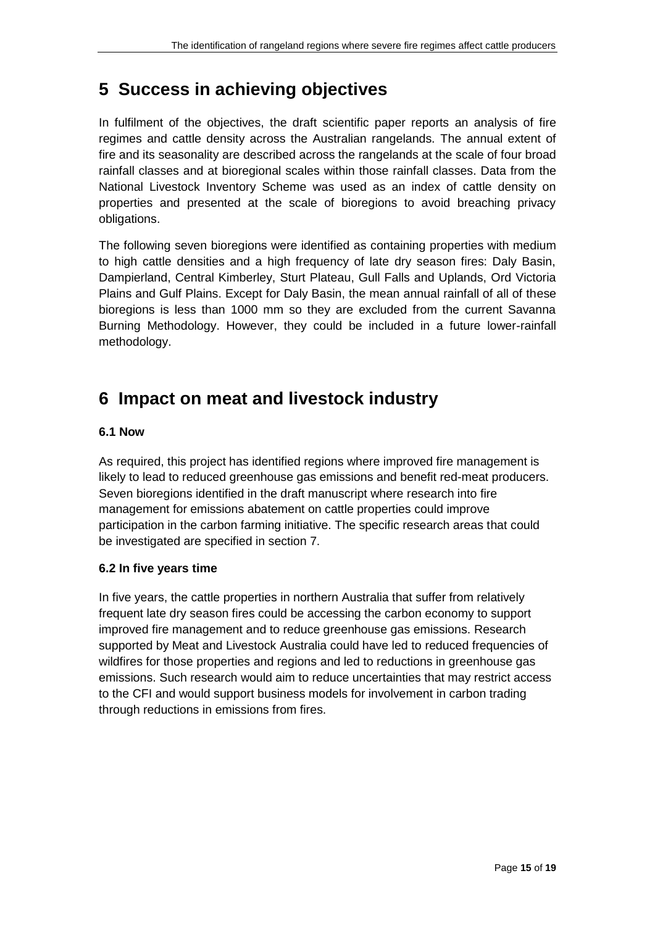## <span id="page-14-0"></span>**5 Success in achieving objectives**

In fulfilment of the objectives, the draft scientific paper reports an analysis of fire regimes and cattle density across the Australian rangelands. The annual extent of fire and its seasonality are described across the rangelands at the scale of four broad rainfall classes and at bioregional scales within those rainfall classes. Data from the National Livestock Inventory Scheme was used as an index of cattle density on properties and presented at the scale of bioregions to avoid breaching privacy obligations.

The following seven bioregions were identified as containing properties with medium to high cattle densities and a high frequency of late dry season fires: Daly Basin, Dampierland, Central Kimberley, Sturt Plateau, Gull Falls and Uplands, Ord Victoria Plains and Gulf Plains. Except for Daly Basin, the mean annual rainfall of all of these bioregions is less than 1000 mm so they are excluded from the current Savanna Burning Methodology. However, they could be included in a future lower-rainfall methodology.

## <span id="page-14-1"></span>**6 Impact on meat and livestock industry**

#### <span id="page-14-2"></span>**6.1 Now**

As required, this project has identified regions where improved fire management is likely to lead to reduced greenhouse gas emissions and benefit red-meat producers. Seven bioregions identified in the draft manuscript where research into fire management for emissions abatement on cattle properties could improve participation in the carbon farming initiative. The specific research areas that could be investigated are specified in section 7.

#### <span id="page-14-3"></span>**6.2 In five years time**

In five years, the cattle properties in northern Australia that suffer from relatively frequent late dry season fires could be accessing the carbon economy to support improved fire management and to reduce greenhouse gas emissions. Research supported by Meat and Livestock Australia could have led to reduced frequencies of wildfires for those properties and regions and led to reductions in greenhouse gas emissions. Such research would aim to reduce uncertainties that may restrict access to the CFI and would support business models for involvement in carbon trading through reductions in emissions from fires.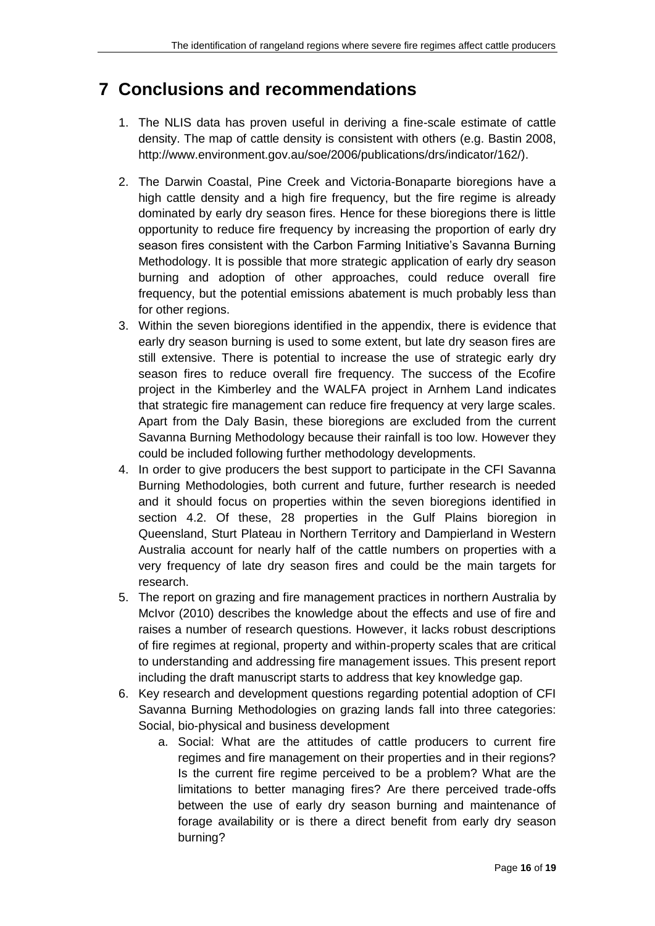## <span id="page-15-0"></span>**7 Conclusions and recommendations**

- 1. The NLIS data has proven useful in deriving a fine-scale estimate of cattle density. The map of cattle density is consistent with others (e.g. Bastin 2008, http://www.environment.gov.au/soe/2006/publications/drs/indicator/162/).
- 2. The Darwin Coastal, Pine Creek and Victoria-Bonaparte bioregions have a high cattle density and a high fire frequency, but the fire regime is already dominated by early dry season fires. Hence for these bioregions there is little opportunity to reduce fire frequency by increasing the proportion of early dry season fires consistent with the Carbon Farming Initiative's Savanna Burning Methodology. It is possible that more strategic application of early dry season burning and adoption of other approaches, could reduce overall fire frequency, but the potential emissions abatement is much probably less than for other regions.
- 3. Within the seven bioregions identified in the appendix, there is evidence that early dry season burning is used to some extent, but late dry season fires are still extensive. There is potential to increase the use of strategic early dry season fires to reduce overall fire frequency. The success of the Ecofire project in the Kimberley and the WALFA project in Arnhem Land indicates that strategic fire management can reduce fire frequency at very large scales. Apart from the Daly Basin, these bioregions are excluded from the current Savanna Burning Methodology because their rainfall is too low. However they could be included following further methodology developments.
- 4. In order to give producers the best support to participate in the CFI Savanna Burning Methodologies, both current and future, further research is needed and it should focus on properties within the seven bioregions identified in section 4.2. Of these, 28 properties in the Gulf Plains bioregion in Queensland, Sturt Plateau in Northern Territory and Dampierland in Western Australia account for nearly half of the cattle numbers on properties with a very frequency of late dry season fires and could be the main targets for research.
- 5. The report on grazing and fire management practices in northern Australia by McIvor (2010) describes the knowledge about the effects and use of fire and raises a number of research questions. However, it lacks robust descriptions of fire regimes at regional, property and within-property scales that are critical to understanding and addressing fire management issues. This present report including the draft manuscript starts to address that key knowledge gap.
- 6. Key research and development questions regarding potential adoption of CFI Savanna Burning Methodologies on grazing lands fall into three categories: Social, bio-physical and business development
	- a. Social: What are the attitudes of cattle producers to current fire regimes and fire management on their properties and in their regions? Is the current fire regime perceived to be a problem? What are the limitations to better managing fires? Are there perceived trade-offs between the use of early dry season burning and maintenance of forage availability or is there a direct benefit from early dry season burning?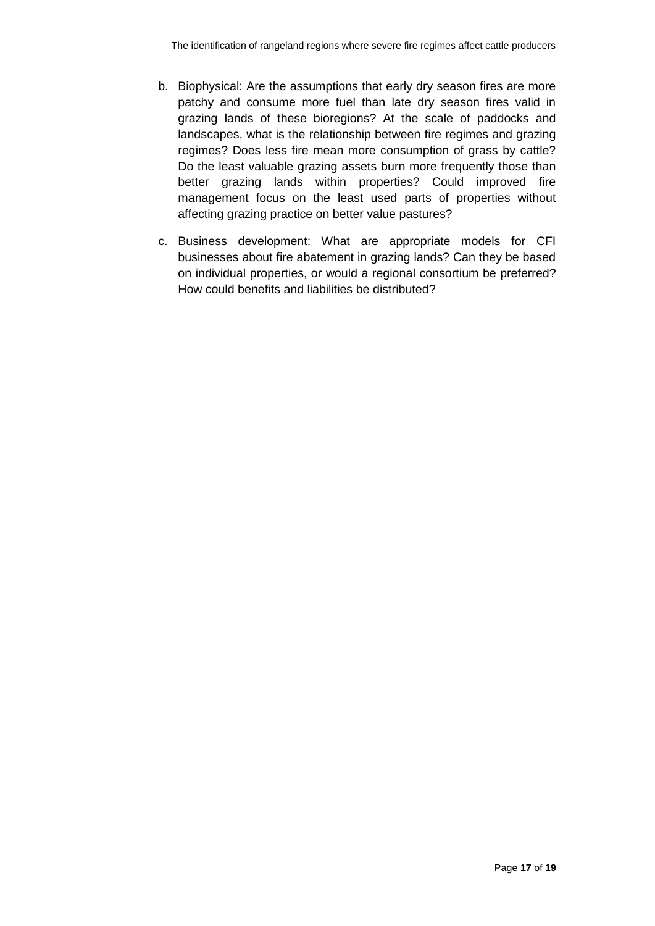- b. Biophysical: Are the assumptions that early dry season fires are more patchy and consume more fuel than late dry season fires valid in grazing lands of these bioregions? At the scale of paddocks and landscapes, what is the relationship between fire regimes and grazing regimes? Does less fire mean more consumption of grass by cattle? Do the least valuable grazing assets burn more frequently those than better grazing lands within properties? Could improved fire management focus on the least used parts of properties without affecting grazing practice on better value pastures?
- c. Business development: What are appropriate models for CFI businesses about fire abatement in grazing lands? Can they be based on individual properties, or would a regional consortium be preferred? How could benefits and liabilities be distributed?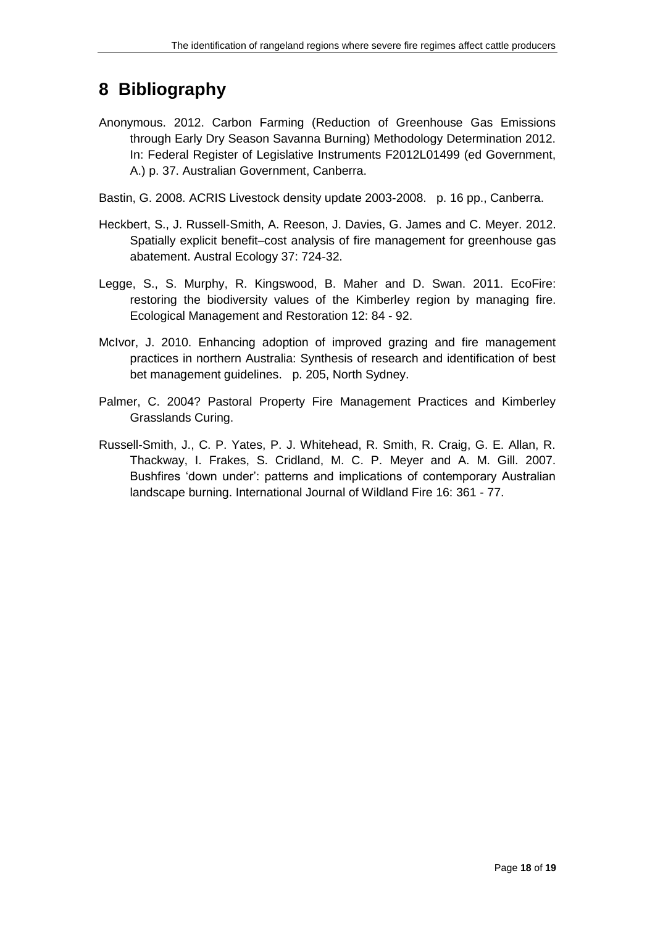## <span id="page-17-0"></span>**8 Bibliography**

- Anonymous. 2012. Carbon Farming (Reduction of Greenhouse Gas Emissions through Early Dry Season Savanna Burning) Methodology Determination 2012. In: Federal Register of Legislative Instruments F2012L01499 (ed Government, A.) p. 37. Australian Government, Canberra.
- Bastin, G. 2008. ACRIS Livestock density update 2003-2008. p. 16 pp., Canberra.
- Heckbert, S., J. Russell-Smith, A. Reeson, J. Davies, G. James and C. Meyer. 2012. Spatially explicit benefit–cost analysis of fire management for greenhouse gas abatement. Austral Ecology 37: 724-32.
- Legge, S., S. Murphy, R. Kingswood, B. Maher and D. Swan. 2011. EcoFire: restoring the biodiversity values of the Kimberley region by managing fire. Ecological Management and Restoration 12: 84 - 92.
- McIvor, J. 2010. Enhancing adoption of improved grazing and fire management practices in northern Australia: Synthesis of research and identification of best bet management guidelines. p. 205, North Sydney.
- Palmer, C. 2004? Pastoral Property Fire Management Practices and Kimberley Grasslands Curing.
- Russell-Smith, J., C. P. Yates, P. J. Whitehead, R. Smith, R. Craig, G. E. Allan, R. Thackway, I. Frakes, S. Cridland, M. C. P. Meyer and A. M. Gill. 2007. Bushfires 'down under': patterns and implications of contemporary Australian landscape burning. International Journal of Wildland Fire 16: 361 - 77.